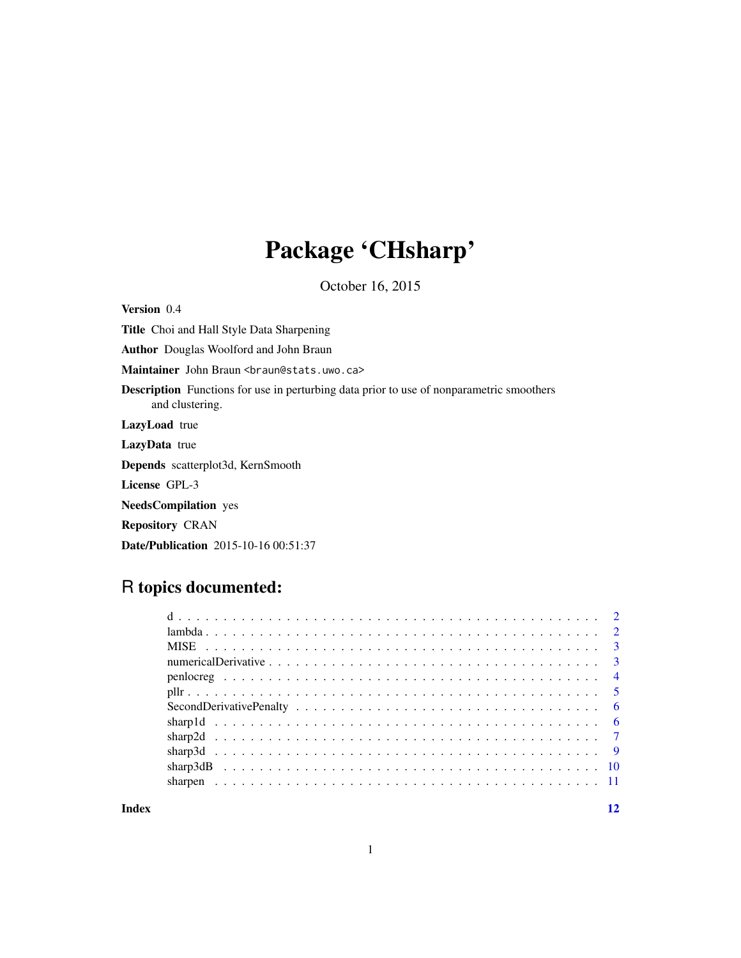## Package 'CHsharp'

October 16, 2015

Version 0.4 Title Choi and Hall Style Data Sharpening Author Douglas Woolford and John Braun Maintainer John Braun <br />braun@stats.uwo.ca> Description Functions for use in perturbing data prior to use of nonparametric smoothers and clustering. LazyLoad true LazyData true Depends scatterplot3d, KernSmooth License GPL-3 NeedsCompilation yes Repository CRAN Date/Publication 2015-10-16 00:51:37

## R topics documented:

**Index** [12](#page-11-0)

1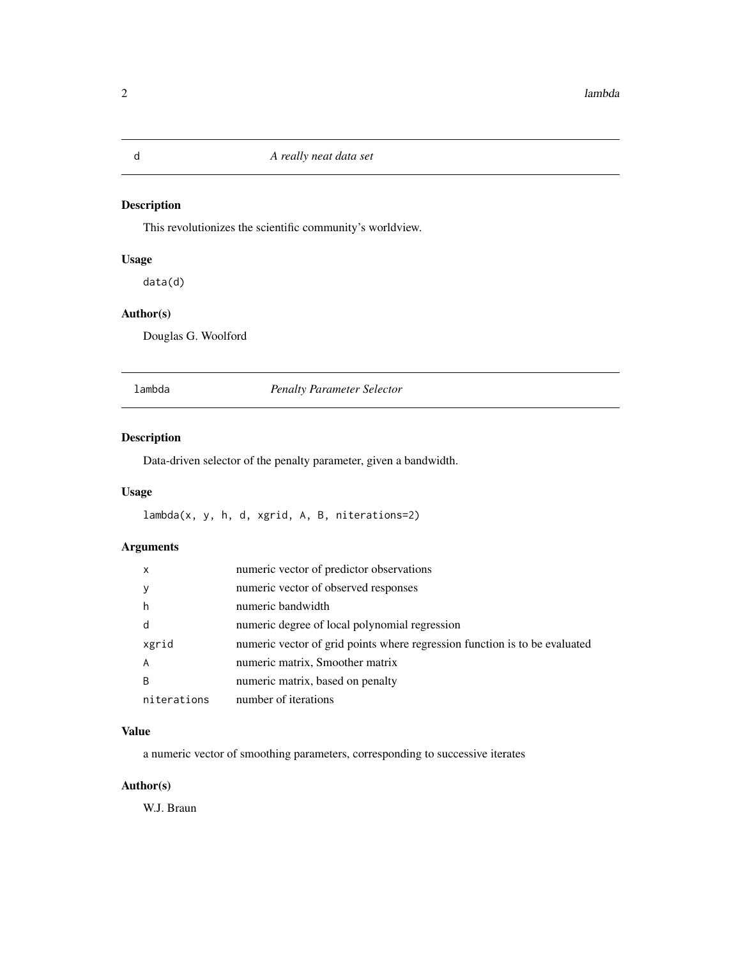## Description

This revolutionizes the scientific community's worldview.

## Usage

data(d)

## Author(s)

Douglas G. Woolford

lambda *Penalty Parameter Selector*

## Description

Data-driven selector of the penalty parameter, given a bandwidth.

## Usage

lambda(x, y, h, d, xgrid, A, B, niterations=2)

## Arguments

| $\times$    | numeric vector of predictor observations                                   |
|-------------|----------------------------------------------------------------------------|
|             | numeric vector of observed responses                                       |
| h           | numeric bandwidth                                                          |
| d           | numeric degree of local polynomial regression                              |
| xgrid       | numeric vector of grid points where regression function is to be evaluated |
| A           | numeric matrix, Smoother matrix                                            |
| B           | numeric matrix, based on penalty                                           |
| niterations | number of iterations                                                       |

## Value

a numeric vector of smoothing parameters, corresponding to successive iterates

## Author(s)

W.J. Braun

<span id="page-1-0"></span>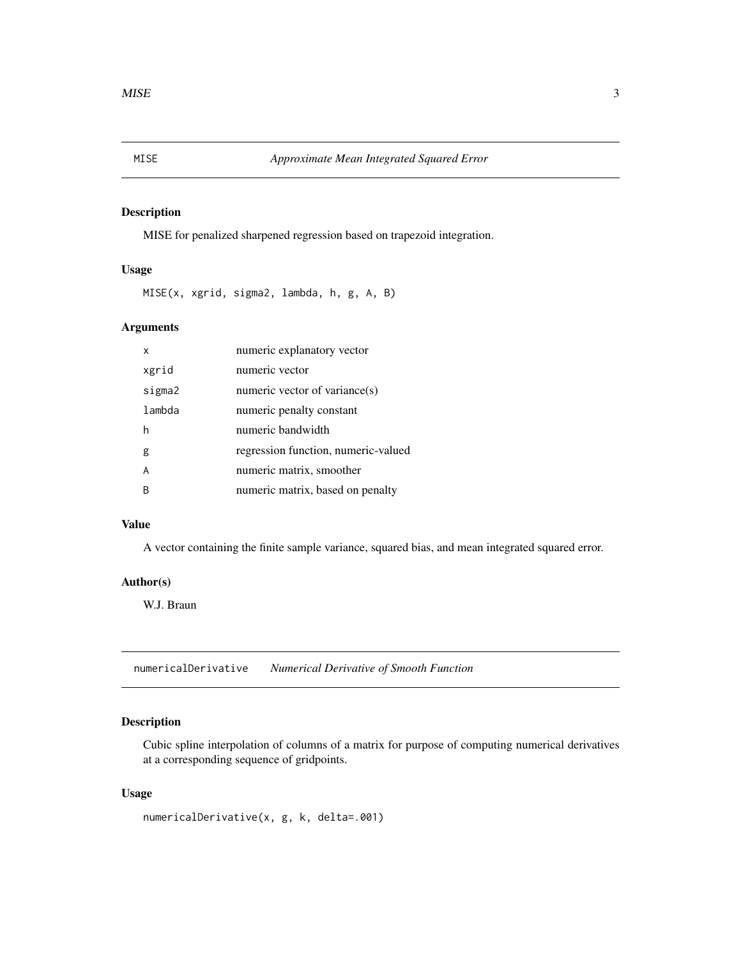## <span id="page-2-0"></span>Description

MISE for penalized sharpened regression based on trapezoid integration.

## Usage

MISE(x, xgrid, sigma2, lambda, h, g, A, B)

## Arguments

| x      | numeric explanatory vector          |
|--------|-------------------------------------|
| xgrid  | numeric vector                      |
| sigma2 | numeric vector of variance(s)       |
| lambda | numeric penalty constant            |
| h      | numeric bandwidth                   |
| g      | regression function, numeric-valued |
| A      | numeric matrix, smoother            |
| B      | numeric matrix, based on penalty    |

## Value

A vector containing the finite sample variance, squared bias, and mean integrated squared error.

#### Author(s)

W.J. Braun

numericalDerivative *Numerical Derivative of Smooth Function*

#### Description

Cubic spline interpolation of columns of a matrix for purpose of computing numerical derivatives at a corresponding sequence of gridpoints.

## Usage

```
numericalDerivative(x, g, k, delta=.001)
```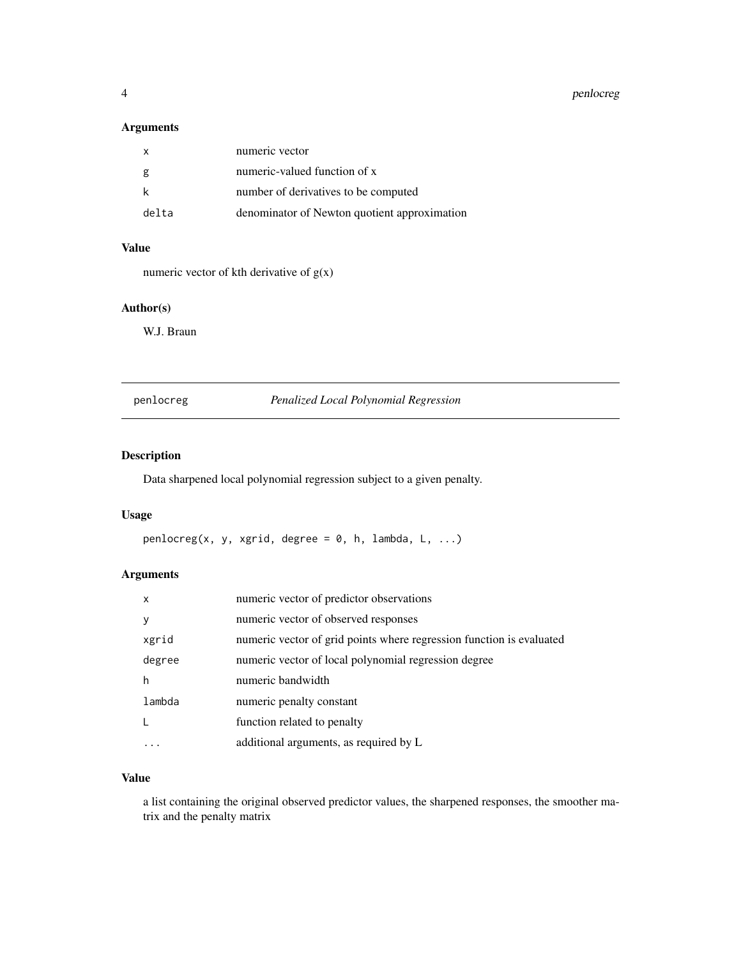## <span id="page-3-0"></span>Arguments

|       | numeric vector                               |
|-------|----------------------------------------------|
| g     | numeric-valued function of x                 |
|       | number of derivatives to be computed         |
| delta | denominator of Newton quotient approximation |

## Value

numeric vector of kth derivative of  $g(x)$ 

## Author(s)

W.J. Braun

## penlocreg *Penalized Local Polynomial Regression*

## Description

Data sharpened local polynomial regression subject to a given penalty.

### Usage

 $penlocreg(x, y, xgrid, degree = 0, h, lambda, L, ...)$ 

## Arguments

| X      | numeric vector of predictor observations                             |
|--------|----------------------------------------------------------------------|
| y      | numeric vector of observed responses                                 |
| xgrid  | numeric vector of grid points where regression function is evaluated |
| degree | numeric vector of local polynomial regression degree                 |
| h      | numeric bandwidth                                                    |
| lambda | numeric penalty constant                                             |
| L      | function related to penalty                                          |
|        | additional arguments, as required by L                               |

## Value

a list containing the original observed predictor values, the sharpened responses, the smoother matrix and the penalty matrix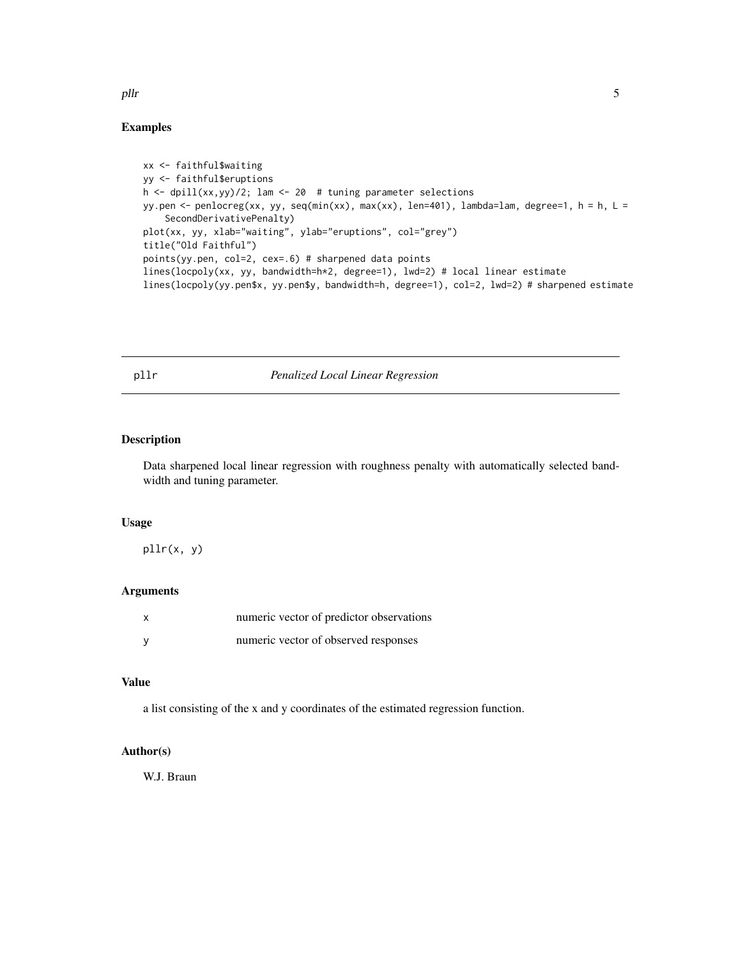#### Examples

```
xx <- faithful$waiting
yy <- faithful$eruptions
h <- dpill(xx,yy)/2; lam <- 20 # tuning parameter selections
yy.pen <- penlocreg(xx, yy, seq(min(xx), max(xx), len=401), lambda=lam, degree=1, h = h, L =
    SecondDerivativePenalty)
plot(xx, yy, xlab="waiting", ylab="eruptions", col="grey")
title("Old Faithful")
points(yy.pen, col=2, cex=.6) # sharpened data points
lines(locpoly(xx, yy, bandwidth=h*2, degree=1), lwd=2) # local linear estimate
lines(locpoly(yy.pen$x, yy.pen$y, bandwidth=h, degree=1), col=2, lwd=2) # sharpened estimate
```
#### pllr *Penalized Local Linear Regression*

## Description

Data sharpened local linear regression with roughness penalty with automatically selected bandwidth and tuning parameter.

#### Usage

pllr(x, y)

## Arguments

| X | numeric vector of predictor observations |
|---|------------------------------------------|
| V | numeric vector of observed responses     |

#### Value

a list consisting of the x and y coordinates of the estimated regression function.

## Author(s)

W.J. Braun

<span id="page-4-0"></span>plir the state of the state of the state of the state of the state of the state of the state of the state of the state of the state of the state of the state of the state of the state of the state of the state of the state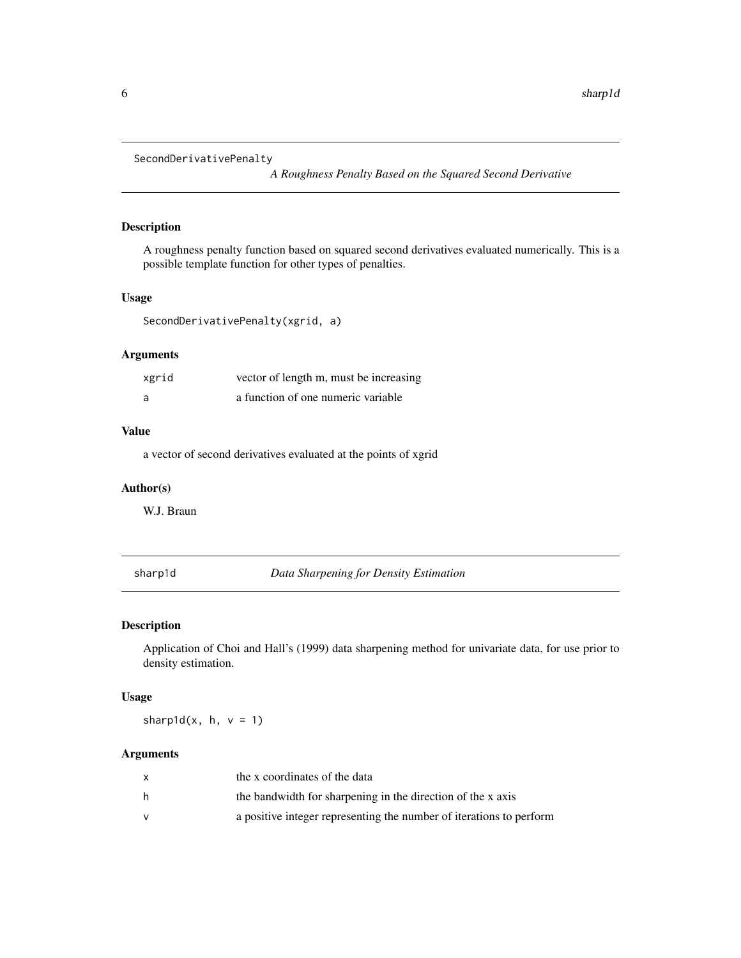```
SecondDerivativePenalty
```
*A Roughness Penalty Based on the Squared Second Derivative*

## Description

A roughness penalty function based on squared second derivatives evaluated numerically. This is a possible template function for other types of penalties.

## Usage

```
SecondDerivativePenalty(xgrid, a)
```
## Arguments

| xgrid | vector of length m, must be increasing |
|-------|----------------------------------------|
| a     | a function of one numeric variable     |

#### Value

a vector of second derivatives evaluated at the points of xgrid

#### Author(s)

W.J. Braun

sharp1d *Data Sharpening for Density Estimation*

## Description

Application of Choi and Hall's (1999) data sharpening method for univariate data, for use prior to density estimation.

#### Usage

sharp1d $(x, h, v = 1)$ 

#### Arguments

|   | the x coordinates of the data                                       |
|---|---------------------------------------------------------------------|
| h | the bandwidth for sharpening in the direction of the x axis         |
|   | a positive integer representing the number of iterations to perform |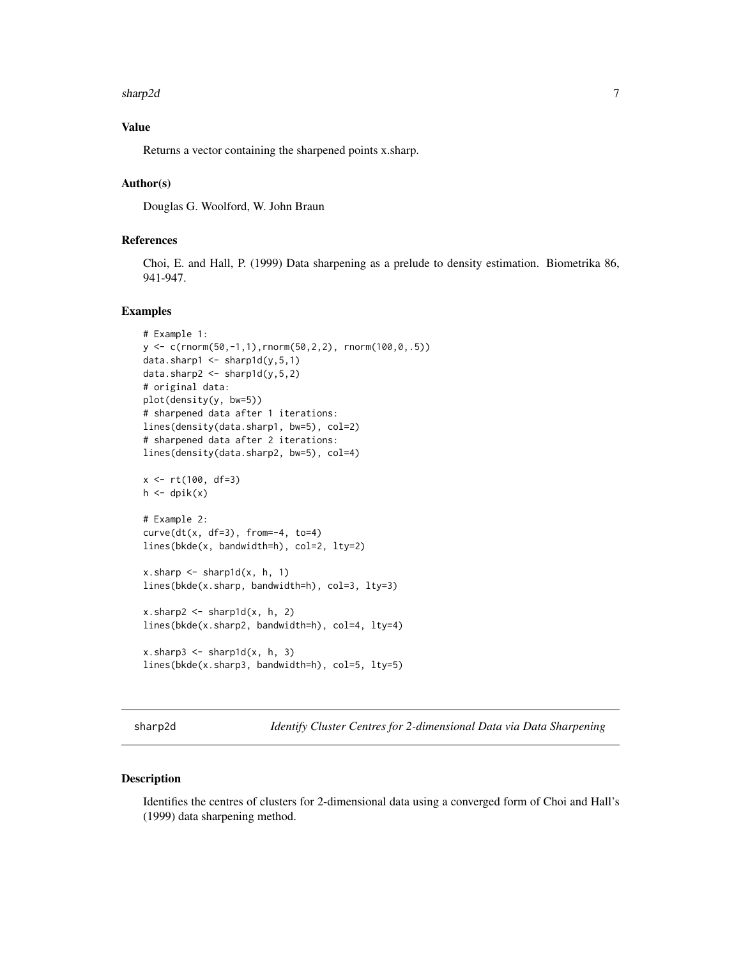#### <span id="page-6-0"></span>sharp2d 7

## Value

Returns a vector containing the sharpened points x.sharp.

#### Author(s)

Douglas G. Woolford, W. John Braun

## References

Choi, E. and Hall, P. (1999) Data sharpening as a prelude to density estimation. Biometrika 86, 941-947.

#### Examples

```
# Example 1:
y \leq c(\text{rnorm}(50, -1, 1), \text{rnorm}(50, 2, 2), \text{rnorm}(100, 0, .5))data.sharp1 \le sharp1d(y, 5, 1)
data.sharp2 <- sharp1d(y,5,2)
# original data:
plot(density(y, bw=5))
# sharpened data after 1 iterations:
lines(density(data.sharp1, bw=5), col=2)
# sharpened data after 2 iterations:
lines(density(data.sharp2, bw=5), col=4)
x \le r t(100, df=3)h \leftarrow dpik(x)
# Example 2:
curve(dt(x, df=3), from=-4, to=4)lines(bkde(x, bandwidth=h), col=2, lty=2)
x.sharp \leftarrow sharp1d(x, h, 1)lines(bkde(x.sharp, bandwidth=h), col=3, lty=3)
x.sharp2 < -sharp1d(x, h, 2)lines(bkde(x.sharp2, bandwidth=h), col=4, lty=4)
x.sharp3 \leq -sharp1d(x, h, 3)lines(bkde(x.sharp3, bandwidth=h), col=5, lty=5)
```
sharp2d *Identify Cluster Centres for 2-dimensional Data via Data Sharpening*

#### Description

Identifies the centres of clusters for 2-dimensional data using a converged form of Choi and Hall's (1999) data sharpening method.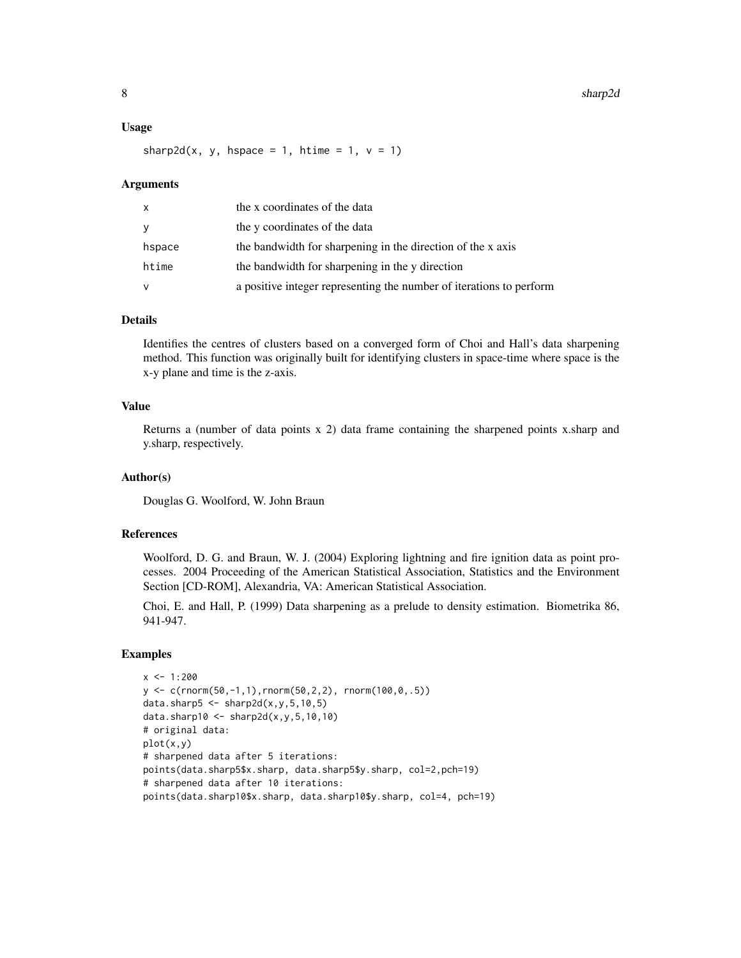#### Usage

sharp2d(x, y, hspace = 1, htime = 1,  $v = 1$ )

#### Arguments

| X      | the x coordinates of the data                                       |
|--------|---------------------------------------------------------------------|
| y      | the y coordinates of the data                                       |
| hspace | the bandwidth for sharpening in the direction of the x axis         |
| htime  | the bandwidth for sharpening in the y direction                     |
| v      | a positive integer representing the number of iterations to perform |

## Details

Identifies the centres of clusters based on a converged form of Choi and Hall's data sharpening method. This function was originally built for identifying clusters in space-time where space is the x-y plane and time is the z-axis.

## Value

Returns a (number of data points x 2) data frame containing the sharpened points x.sharp and y.sharp, respectively.

#### Author(s)

Douglas G. Woolford, W. John Braun

## References

Woolford, D. G. and Braun, W. J. (2004) Exploring lightning and fire ignition data as point processes. 2004 Proceeding of the American Statistical Association, Statistics and the Environment Section [CD-ROM], Alexandria, VA: American Statistical Association.

Choi, E. and Hall, P. (1999) Data sharpening as a prelude to density estimation. Biometrika 86, 941-947.

#### Examples

```
x < -1:200y <- c(rnorm(50,-1,1),rnorm(50,2,2), rnorm(100,0,.5))
data.sharp5 \leq sharp2d(x,y,5,10,5)
data.sharp10 <- sharp2d(x, y, 5, 10, 10)
# original data:
plot(x,y)
# sharpened data after 5 iterations:
points(data.sharp5$x.sharp, data.sharp5$y.sharp, col=2,pch=19)
# sharpened data after 10 iterations:
points(data.sharp10$x.sharp, data.sharp10$y.sharp, col=4, pch=19)
```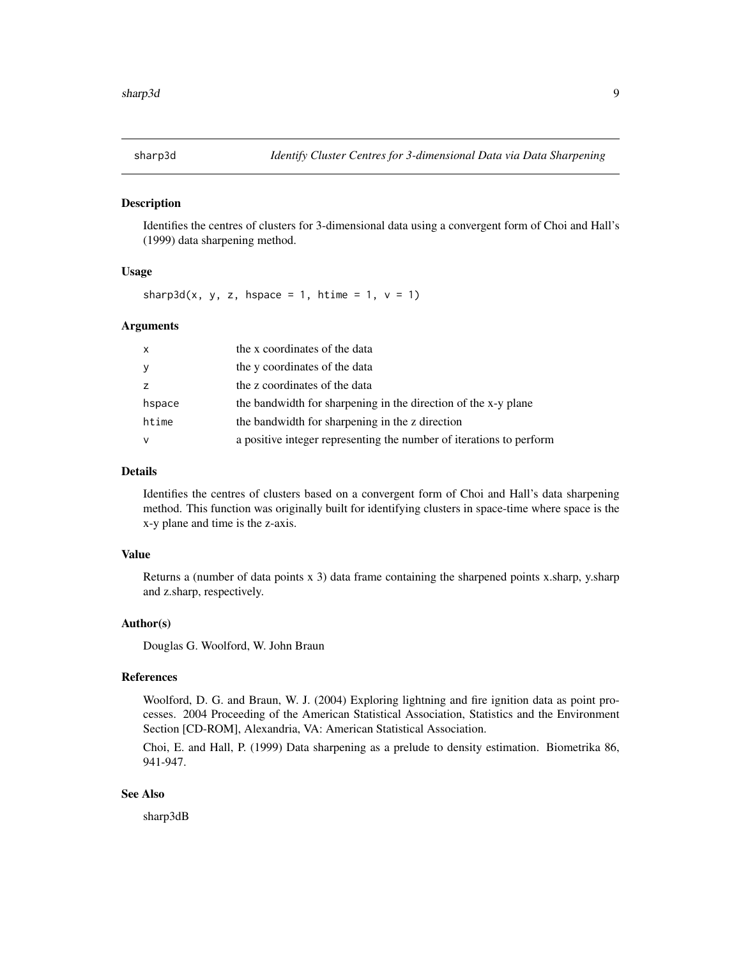<span id="page-8-0"></span>

#### Description

Identifies the centres of clusters for 3-dimensional data using a convergent form of Choi and Hall's (1999) data sharpening method.

## Usage

sharp3d(x, y, z, hspace = 1, htime = 1,  $v = 1$ )

## Arguments

| $\mathsf{x}$ | the x coordinates of the data                                       |
|--------------|---------------------------------------------------------------------|
| У            | the y coordinates of the data                                       |
| Z            | the z coordinates of the data                                       |
| hspace       | the bandwidth for sharpening in the direction of the x-y plane      |
| htime        | the bandwidth for sharpening in the z direction                     |
| $\vee$       | a positive integer representing the number of iterations to perform |

### Details

Identifies the centres of clusters based on a convergent form of Choi and Hall's data sharpening method. This function was originally built for identifying clusters in space-time where space is the x-y plane and time is the z-axis.

#### Value

Returns a (number of data points x 3) data frame containing the sharpened points x.sharp, y.sharp and z.sharp, respectively.

#### Author(s)

Douglas G. Woolford, W. John Braun

#### References

Woolford, D. G. and Braun, W. J. (2004) Exploring lightning and fire ignition data as point processes. 2004 Proceeding of the American Statistical Association, Statistics and the Environment Section [CD-ROM], Alexandria, VA: American Statistical Association.

Choi, E. and Hall, P. (1999) Data sharpening as a prelude to density estimation. Biometrika 86, 941-947.

## See Also

sharp3dB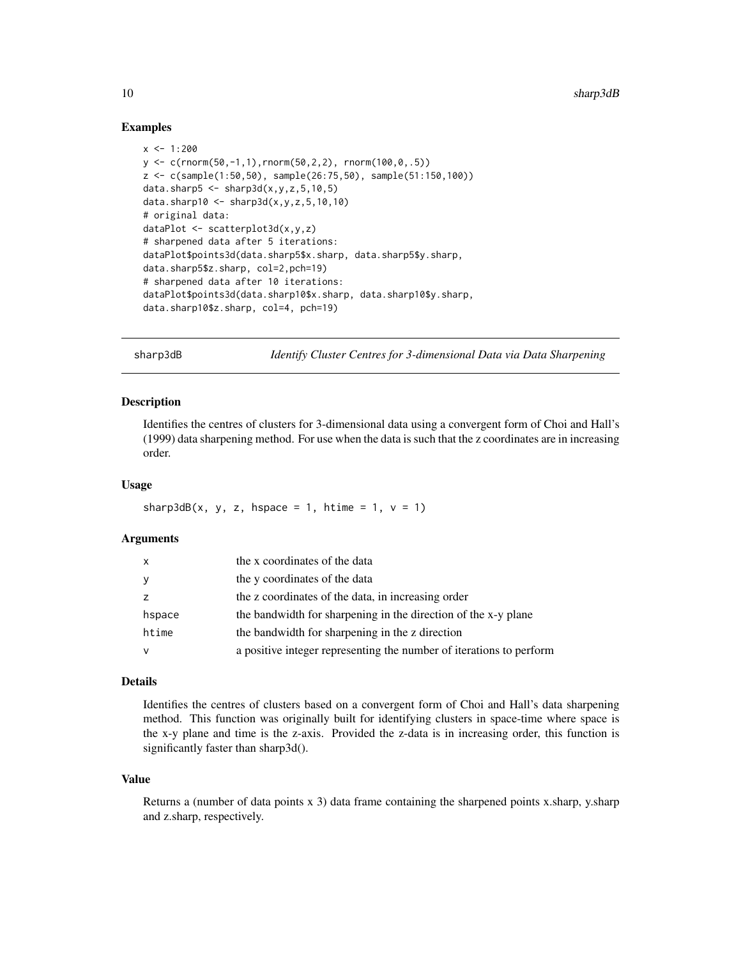#### Examples

```
x < -1:200y \leq c \text{(rnorm(50, -1, 1), rnorm(50, 2, 2), rnorm(100, 0, .5))}z <- c(sample(1:50,50), sample(26:75,50), sample(51:150,100))
data.sharp5 \leq -\ sharp3d(x,y,z,5,10,5)
data.sharp10 <- sharp3d(x,y,z,5,10,10)
# original data:
dataPlot <- scatterplot3d(x,y,z)
# sharpened data after 5 iterations:
dataPlot$points3d(data.sharp5$x.sharp, data.sharp5$y.sharp,
data.sharp5$z.sharp, col=2,pch=19)
# sharpened data after 10 iterations:
dataPlot$points3d(data.sharp10$x.sharp, data.sharp10$y.sharp,
data.sharp10$z.sharp, col=4, pch=19)
```
sharp3dB *Identify Cluster Centres for 3-dimensional Data via Data Sharpening*

#### **Description**

Identifies the centres of clusters for 3-dimensional data using a convergent form of Choi and Hall's (1999) data sharpening method. For use when the data is such that the z coordinates are in increasing order.

#### Usage

sharp3dB(x, y, z, hspace = 1, htime = 1,  $v = 1$ )

#### Arguments

| X      | the x coordinates of the data                                       |
|--------|---------------------------------------------------------------------|
| У      | the y coordinates of the data                                       |
| z      | the z coordinates of the data, in increasing order                  |
| hspace | the bandwidth for sharpening in the direction of the x-y plane      |
| htime  | the bandwidth for sharpening in the z direction                     |
| V      | a positive integer representing the number of iterations to perform |

#### Details

Identifies the centres of clusters based on a convergent form of Choi and Hall's data sharpening method. This function was originally built for identifying clusters in space-time where space is the x-y plane and time is the z-axis. Provided the z-data is in increasing order, this function is significantly faster than sharp3d().

#### Value

Returns a (number of data points x 3) data frame containing the sharpened points x.sharp, y.sharp and z.sharp, respectively.

<span id="page-9-0"></span>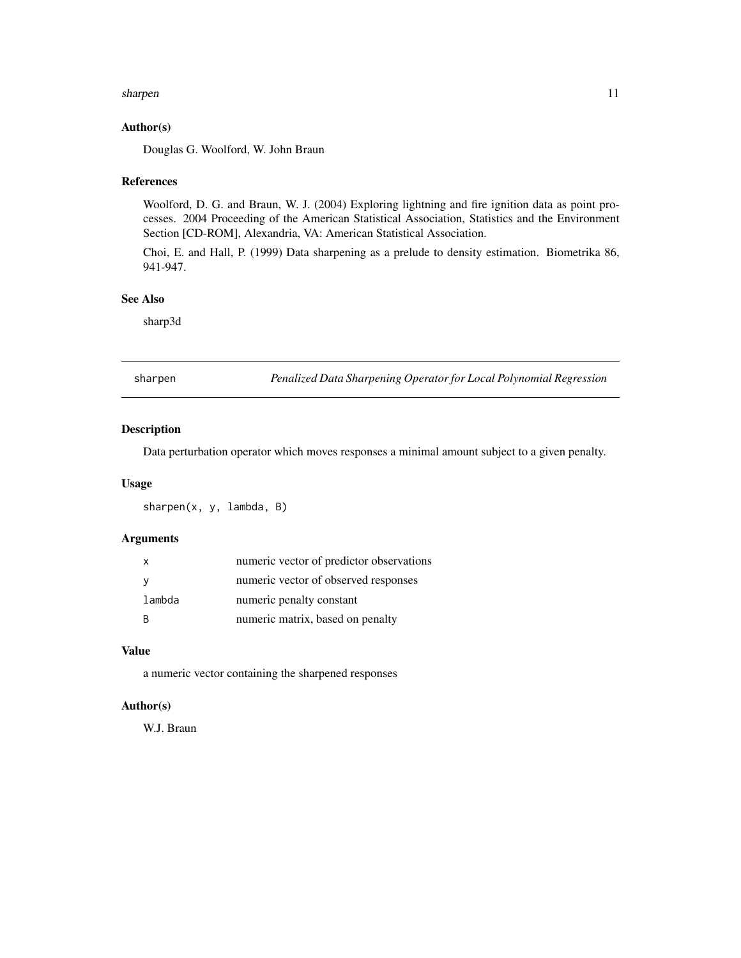#### <span id="page-10-0"></span>sharpen 11

#### Author(s)

Douglas G. Woolford, W. John Braun

#### References

Woolford, D. G. and Braun, W. J. (2004) Exploring lightning and fire ignition data as point processes. 2004 Proceeding of the American Statistical Association, Statistics and the Environment Section [CD-ROM], Alexandria, VA: American Statistical Association.

Choi, E. and Hall, P. (1999) Data sharpening as a prelude to density estimation. Biometrika 86, 941-947.

#### See Also

sharp3d

sharpen *Penalized Data Sharpening Operator for Local Polynomial Regression*

## Description

Data perturbation operator which moves responses a minimal amount subject to a given penalty.

#### Usage

sharpen(x, y, lambda, B)

## Arguments

|        | numeric vector of predictor observations |
|--------|------------------------------------------|
|        | numeric vector of observed responses     |
| lambda | numeric penalty constant                 |
| R      | numeric matrix, based on penalty         |

### Value

a numeric vector containing the sharpened responses

## Author(s)

W.J. Braun